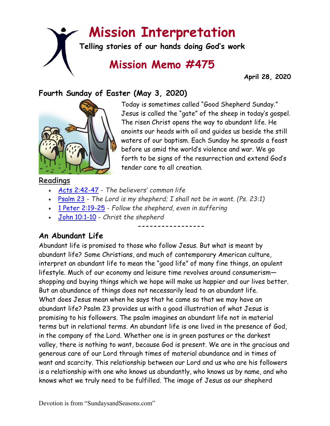# **Mission Interpretation**

**Telling stories of our hands doing God's work**

## **Mission Memo #475**

 **April 28, 2020**

#### **Fourth Sunday of Easter (May 3, 2020)**



Today is sometimes called "Good Shepherd Sunday." Jesus is called the "gate" of the sheep in today's gospel. The risen Christ opens the way to abundant life. He anoints our heads with oil and guides us beside the still waters of our baptism. Each Sunday he spreads a feast before us amid the world's violence and war. We go forth to be signs of the resurrection and extend God's tender care to all creation.

#### **Readings**

- [Acts 2:42-47](https://members.sundaysandseasons.com/) *The believers' common life*
- [Psalm 23](https://members.sundaysandseasons.com/) *The Lord is my shepherd; I shall not be in want. (Ps. 23:1)*

**-----------------**

- [1 Peter 2:19-25](https://members.sundaysandseasons.com/) *Follow the shepherd, even in suffering*
- [John 10:1-10](https://members.sundaysandseasons.com/) *Christ the shepherd*

#### **An Abundant Life**

Abundant life is promised to those who follow Jesus. But what is meant by abundant life? Some Christians, and much of contemporary American culture, interpret an abundant life to mean the "good life" of many fine things, an opulent lifestyle. Much of our economy and leisure time revolves around consumerism shopping and buying things which we hope will make us happier and our lives better. But an abundance of things does not necessarily lead to an abundant life. What does Jesus mean when he says that he came so that we may have an abundant life? Psalm 23 provides us with a good illustration of what Jesus is promising to his followers. The psalm imagines an abundant life not in material terms but in relational terms. An abundant life is one lived in the presence of God, in the company of the Lord. Whether one is in green pastures or the darkest valley, there is nothing to want, because God is present. We are in the gracious and generous care of our Lord through times of material abundance and in times of want and scarcity. This relationship between our Lord and us who are his followers is a relationship with one who knows us abundantly, who knows us by name, and who knows what we truly need to be fulfilled. The image of Jesus as our shepherd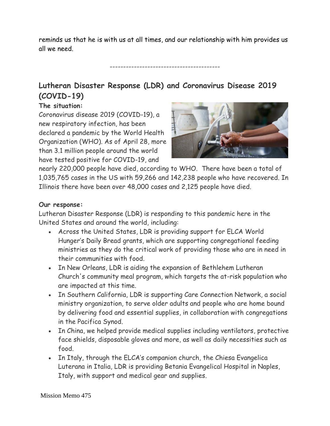reminds us that he is with us at all times, and our relationship with him provides us all we need.

-----------------------------------------

### **Lutheran Disaster Response (LDR) and Coronavirus Disease 2019 (COVID-19)**

#### **The situation:**

Coronavirus disease 2019 (COVID-19), a new respiratory infection, has been declared a pandemic by the World Health Organization (WHO). As of April 28, more than 3.1 million people around the world have tested positive for COVID-19, and



nearly 220,000 people have died, according to WHO. There have been a total of 1,035,765 cases in the US with 59,266 and 142,238 people who have recovered. In Illinois there have been over 48,000 cases and 2,125 people have died.

#### **Our response:**

Lutheran Disaster Response (LDR) is responding to this pandemic here in the United States and around the world, including:

- Across the United States, LDR is providing support for ELCA World Hunger's Daily Bread grants, which are supporting congregational feeding ministries as they do the critical work of providing those who are in need in their communities with food.
- In New Orleans, LDR is aiding the expansion of Bethlehem Lutheran Church's community meal program, which targets the at-risk population who are impacted at this time.
- In Southern California, LDR is supporting Care Connection Network, a social ministry organization, to serve older adults and people who are home bound by delivering food and essential supplies, in collaboration with congregations in the Pacifica Synod.
- In China, we helped provide medical supplies including ventilators, protective face shields, disposable gloves and more, as well as daily necessities such as food.
- In Italy, through the ELCA's companion church, the Chiesa Evangelica Luterana in Italia, LDR is providing Betania Evangelical Hospital in Naples, Italy, with support and medical gear and supplies.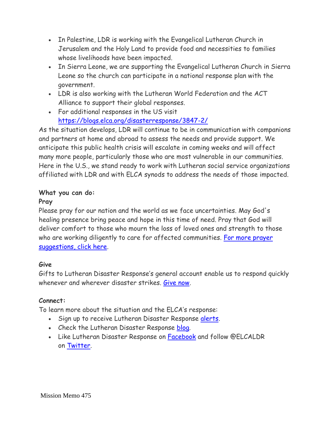- In Palestine, LDR is working with the Evangelical Lutheran Church in Jerusalem and the Holy Land to provide food and necessities to families whose livelihoods have been impacted.
- In Sierra Leone, we are supporting the Evangelical Lutheran Church in Sierra Leone so the church can participate in a national response plan with the government.
- LDR is also working with the Lutheran World Federation and the ACT Alliance to support their global responses.
- For additional responses in the US visit <https://blogs.elca.org/disasterresponse/3847-2/>

As the situation develops, LDR will continue to be in communication with companions and partners at home and abroad to assess the needs and provide support. We anticipate this public health crisis will escalate in coming weeks and will affect many more people, particularly those who are most vulnerable in our communities. Here in the U.S., we stand ready to work with Lutheran social service organizations affiliated with LDR and with ELCA synods to address the needs of those impacted.

#### **What you can do:**

#### **Pray**

Please pray for our nation and the world as we face uncertainties. May God's healing presence bring peace and hope in this time of need. Pray that God will deliver comfort to those who mourn the loss of loved ones and strength to those who are working diligently to care for affected communities. For more prayer [suggestions, click here.](https://download.elca.org/ELCA%20Resource%20Repository/Prayers_for_Times_of_Public_Health_Concerns_COVID-19.pdf)

#### **Give**

Gifts to Lutheran Disaster Response's general account enable us to respond quickly whenever and wherever disaster strikes. [Give now.](https://community.elca.org/lutherandisasterresponse)

#### **Connect:**

To learn more about the situation and the ELCA's response:

- Sign up to receive Lutheran Disaster Response [alerts.](http://listserv.elca.org/cgi-bin/wa.exe?SUBED1=DISASTER&A=1)
- Check the Lutheran Disaster Response [blog.](http://blogs.elca.org/disasterresponse/)
- Like Lutheran Disaster Response on [Facebook](https://www.facebook.com/ELCALDR) and follow @ELCALDR on [Twitter.](https://twitter.com/elcaldr)